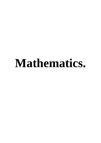# **Mathematics.**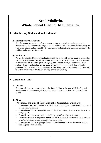# **Scoil Mháirtín. Whole School Plan for Mathematics.**

# **Introductory Statement and Rationale**

#### **(a)Introductory Statement**

This document is a statement of the aims and objectives, principles and strategies for implementing the Mathematics Programme in Scoil Mháirtín. It has been formulated by the staff of the school and informed by the Curriculum Statements and Guidelines, needs of the children and expertise of the staff.

#### **(b)Rationale**

We are devising the Mathematics plan to provide the child with a wide range of knowledge and the necessary skills that enable him/her to live a full life as a child and later as an adult. In this way the child will be given a language and a system through which he/she may analyse, describe and explain a wide range of experiences, make predictions and solve problems. We believe it is important to show the relevance of Maths to our daily lives and to nurture an interest in Maths, which may lead to further study.

# **Vision and Aims**

#### **(a)Vision:**

This plan will focus on meeting the needs of our children in the area of Maths. Parental involvement will be encouraged as much as possible to support their child's learning in Maths.

#### **(b)Aims:**

#### **We endorse the aims of the Mathematics Curriculum which are:**

- To develop a positive attitude towards Mathematics and appreciation of both its practical and its aesthetic aspects
- To develop problem-solving abilities and a facility for the application of Mathematics to everyday life
- To enable the child to use mathematical language effectively and accurately
- To enable the child to acquire an understanding of mathematical concepts and processes to his/her appropriate level of development and ability
- To enable the child to acquire proficiency in fundamental mathematical skills and in recalling basic number facts.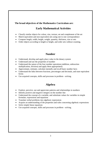### **The broad objectives of the Mathematics Curriculum are:**

# **Early Mathematical Activities**

- Classify similar objects for colour, size, texture, set and complement of the set
- Match equivalent and non-equivalent sets using one to one correspondence
- Compare length, width, height, weight, quantity, thickness, size or sets
- Order objects according to length or height, and order sets without counting.

# **Number**

- Understand, develop and apply place value in the denary system
- Understand and use the properties of number
- Understand the nature of the four number operations (addition, subtraction multiplication, division) and apply them appropriately
- Approximate, estimate, calculate mentally and recall basic number facts
- Understand the links between fractions, percentages and decimals, and state equivalent forms
- Use acquired concepts, skills and processes in problem solving.

# **Algebra**

- Explore, perceive, use and appreciate patterns and relationships in numbers
- Identify positive and negative integers on the number line
- Understand the concept of a variable, and substitute values for variables in simple formulae, expressions and equations
- Translate verbal problems into algebraic expressions
- Acquire an understanding of the properties and rules concerning algebraic expressions
- Solve simple linear equations
- Use acquired concepts, skills and processes in problem solving.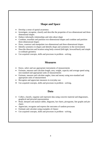# **Shape and Space**

- Develop a sense of spatial awareness
- Investigate, recognise, classify and describe the properties of two-dimensional and threedimensional shapes
- Deduce informally relationships and rules about shape
- Combine, tessellate and partition two-dimensional shapes and combine and partition three-dimensional shapes
- Draw, construct and manipulate two-dimensional and three-dimensional shapes
- Identify symmetry in shapes and identify shape and symmetry in the environment
- Describe direction and location using body-centred (left/right, forward/back) and simple co-ordinate geometry
- Use acquired concepts, skills and processes in problem solving.

# **Measures**

- Know, select and use appropriate instruments of measurements
- Estimate, measure and calculate length, area, weight, capacity and average speed using non-standard and appropriate units of measurements
- Estimate, measure and calculate angles, time and money using non-standard and appropriate units of measurement
- Recognise and appreciate measures in everyday use
- Use acquired concepts, skills and processes in problem solving.

# **Data**

- Collect, classify, organise and represent data using concrete material and diagramatic, graphical and pictorial representation
- Read, interpret and analyse tables, diagrams, bar charts, pictograms, line graphs and piecharts
- Appreciate, recognise and express the outcomes of random processes
- Estimate and calculate using examples of chance
- Use acquired concepts, skills and processes in problem solving.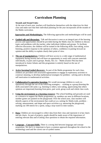# **Curriculum Planning**

#### **Strands and Strand Units:**

At the start of each year, teachers will familiarise themselves with the objectives for their class and make sure that their individual planning for the year incorporates all the strands of the Maths curriculum.

**Approaches and Methodologies.** The following approaches and methodologies will be used:

- **Guided talk and discussion:** Talk and discussion is seen as an integral part of the learning process and opportunities should be provided during the Maths class for children to discuss topics and problems with the teacher, other individual children and groups. To facilitate effective discussion, the children will be trained in the following skills; turn-taking, active listening, positive response to the opinions of others, confidence in putting forward an opinion and the ability to explain clearly their point of view.
- **The use of manipulatives:** Children will have access to a wide range of mathematical equipment during lessons and will have an opportunity to work with concrete materials individually, in pairs and in groups. Ready, Set, Go – Maths (Eunice Pitt) has been introduced in Junior Infants and this programme is entirely based on the use of manipulatives.
- **Active learning/Guided discovery:** As part of the Maths programme for each class, children are provided with structured opportunities to engage in exploratory activities to construct meaning, to develop mathematical strategies for problem - solving and to develop self motivation in mathematical activities.
- **Collaborative/Co-operative learning;** We would encourage children to work cooperatively through the use of the following strategies; - working as a group (learning the skills associated with same; e.g. listening to others, turn-taking, appreciating that others opinions are important) learning from peers, pair work, group work and whole class work.
- **Using the environment as a learning resource:** The school building and grounds are used as a resource to support the Maths programme e.g. numbers are seen in different locations, number games are painted on the playground. Over the school year, class teachers will identify aspects of the environment that could act as a setting for Maths trails, problem solving, measurement, and shape and space activities e.g. measuring the playground, marking out 100 metres for a sprint, using a stop-watch to time runners.
- **Data:** Children are encouraged to collect data from their class and represent it in bar charts and pie charts. As part of projects, pupils should be made aware of the importance of entering relevant data and of asking clear questions to obtain the required information.
- **Language – Concepts/Skills:** There is a strong link between language and concept acquisition. We feel it is important to have a common approach throughout the school to the terminology used and the correct use of symbol names.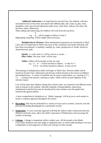*Addition& Subtraction*; It is hoped that by Second Class, the children will have encountered most of the terms associated with addition,(add, and, count on, plus, more, altogether, total, sum of) and subtraction (take away, count back, subtract, less than, left, decrease, minus, difference).

When adding and subtracting, the children will work from the top down.

 9 e.g. - 4 , will be taught as follows: 9 take 4 Regrouping /renaming will be taught where necessary.

*Multiplication & Division;* These mathematical operations are introduced in Third Class and it is hoped that by Fifth Class most of the vocabulary associated with them will have been encountered, i.e.multiply, multiply by, times, groups/sets of, divide, divide by, shared between, split.

*Equals***;** is, is the same as, will be, answer is, means ….. *Place Value;* The term 'units' will be used

 *Tables;* Tables will be learned as they are read e.g.  $11 - 4 = 7$  will be learned as follows; 11 take 4 is 7  $9 X 6 = 54$  will be learned as follows; 9 sixes are 54

The learning of multiplication tables will begin in Third Class. Division tables will be learned in Fourth Class. Subtraction and division will be learned as the inverse of addition and multiplication. A variety of methods may be used to teach tables; e.g. counting in 2's, 3's …, reciting from memory, listening to tapes. Tables will be revised regularly in the relevant classes.

Care will be taken that children, during their school career, are exposed to the different terms used in relation to the symbols. Alternate methods of doing addition, subtraction, multiplication and division may be introduced by class teachers once the pupils have mastered the agreed method.

A more comprehensive breakdown on ' Maths Language' will be given to each teacher to ensure a common approach throughout the school.

- **Recording:** This may be performed in a variety of ways such as written, concrete, oral and pictorial (including photographs for a permanent record)
- Integration: A cross curricular approach will help the child to make connections between different curricular areas, add to the child's enjoyment of Mathematics and encourage the transfer of learning.
- **Linkage:** Linkage is integration within a subject area. All the strands in the Maths Curriculum should be seen and taught as integrated units, in which understanding in one area is dependent on and supportive of ideas and concepts in other strands.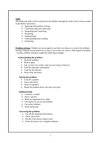#### **Skills**

The following skills will be acquired by the children through the study of the various strands in the Maths curriculum:

- Applying and problem-solving
- Communicating and expressing
- Integrating and connecting
- Reasoning
- Implementing
- Understanding and recalling
- Estimating

**Problem-solving:** Children are encouraged to use their own ideas as a context for problem solving. Theories can be tested out in class to see if they are correct. With regard to problem - solving, children should be taught the following strategies:

#### **Understanding the problem:**

- Read the problem
- Read it again
- Say, in your own words, what you are trying to find out
- Find the important information
- Look for key phrases
- Write what you know

#### **Solving the problem:**

- Look for a pattern
- Guess and check
- Write an equation
- Break the problem down and solve each part

#### **Additional help:**

- Construct a model
- Draw a picture
- Make an organised list or table
- Use objects to act out the problem
- Use easier numbers
- Work backwards

#### **Answering the problem:**

- Use all the important information
- Check your work
- Decide if the answer makes sense
- Write the answer in a complete sentence.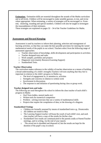**Estimation:** Estimation skills are essential throughout the strands of the Maths curriculum and at all levels. Children will be encouraged to make sensible guesses, to test, and revise where appropriate. When estimating, a variety of strategies will be encouraged i.e. Frontend, clustering, rounding and special numbers. Children will also be taught to investigate the reasonableness of their estimates.

These strategies are explained on pages 32 – 34 of the Teacher Guidelines for Maths.

#### **Assessment and Record Keeping**

Assessment is used by teachers to inform their planning, selection and management of learning activities, so that they can make the best possible provision for meeting the varied mathematical needs of the pupils in our school. Teachers select from the following range of assessment approaches:

- o Teacher observation of knowledge, skills development and participation in activities.
- o Teacher designed tests and tasks
- o Work samples, portfolios and projects
- o Diagnostic tests (mainly Resource/Learning Support)
- o Standardised Tests.

#### **Teacher Observation**

The curriculum makes reference to the validity of teacher observation as a means of building a broad understanding of a child's strengths.Teachers will note anything that they feel is important in relation to the child's progress in Maths e.g.

- o The level of engagement in, or attention to, activities
- o Strengths and concerns in relation to written work
- o Involvement in discussions
- o The response to and initiation of questioning during class or group work.

#### **Teacher designed tests and tasks**

The following are used throughout the school to inform the class teacher of each child's progress in Maths:

- o Oral Tests (tables, mental maths etc)
- o Written tests for numerical competence
- o Problem solving exercises that use a variety of mathematical skills
- o Projects that require the compilation of data, or the drawing of a diagram.

#### **Standardised Testing:**

- o Children are formally assessed by means of standardised tests e.g.. Drumcondra
- o All children are tested in May
- o The Learning Support teacher will keep the result of each child's test, and each class teacher will have a copy of the results for his/her class
- o Stardardised Test results are communicated to the parents orally at Parent/Teacher meetings, and in writing, via the end of year reports
- o The actual test is shredded and disposed of, but the results are kept for the duration of the pupil's stay in school.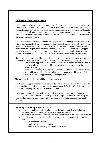## **Children with Different Needs**

Children in each class will display a wide range of abilities, attainment and learning styles. The Maths programme aims to meet the needs of all the children in the school. Teachers, varying the pace, content and methodologies to ensure learning, will achieve this. Computer technology and calculators can be used effectively both in remediation work and in extension activities for the more able child. Evidence of this differentiated approach will be recorded in the teacher's planning notes.

Children who receive scores at or below the  $10<sup>th</sup>$  percentile on standardised tests will have priority in attending the Learning Support teacher for supplementary or parallel teaching in Maths. The availability of supplementary or parallel teaching in Maths to pupils with a score above the  $10<sup>th</sup>$  percentile however, depends on the caseload of the Learning Support teacher. Arrangements will be in accordance with the recommended selection criteria as outlined by the D.E.S.. Diagnostic tests may also be administered where the need arises.

If there are children who qualify for supplementary teaching, but for whom there is no possibility of receiving formal supplementary teaching, the following will happen:

- o The learning support teacher will liaise with the class teacher on resource books and materials that could be used by the class teacher and the child in the mainstream setting
- o If the child is already attending the Learning Support teacher for English, it may be possible on occasion, for the child to receive some help with his/her Maths work as part of the supplementary teaching lessons.

The progress of such children will be reviewed regularly.

The Learning Support Teacher will liaise with the class teacher as well for the children who do not qualify for supplementary teaching but demonstrate difficulty with Maths activities, either on an ongoing basis or with particular concepts.

The requirements of children with special needs will be taken into consideration when planning class lessons. The SNA supports particular groups of children as directed by the class teacher. Grants as appropriate will be accessed to support the needs of individual children.

\_\_\_\_\_\_\_\_\_\_\_\_\_\_\_\_\_\_\_\_\_\_\_\_\_\_\_\_\_\_\_\_\_\_\_\_\_\_\_\_\_\_\_\_\_\_\_\_\_\_\_\_\_\_\_\_\_\_\_\_\_\_\_\_\_\_\_\_\_\_\_\_\_\_\_\_\_\_\_\_

# **Equality of Participation and Access**

- Equal opportunities are given to boys and girls to participate in discussion, use manipulatives, and present their work to the class/school etc
- o All children have access to services, facilities or amenities in the school environment
- o We endeavour to identify the needs of, and make the necessary provision for the following;
	- Children with disabilities
	- Families with literacy problems
	- Families for whom English is not the first language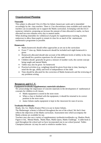# **Organisational Planning**

#### **Timetable**

This subject is allocated 3 hrs (2.25hrs for Infant classes) per week and is timetabled accordingly by the class teachers. There is 2 hrs discretionary time available each week that teachers can occasionally use to support the Maths curriculum. In keeping with the D.E.S numeracy initiative, proposing an increase the amount of time allocated to maths, we have allocated ten extra minutes every day to mental maths.

When drafting timetables for withdrawal of pupils for supplementary teaching, teachers endeavour to allow these pupils to remain in class for as much of the mainstream mathematics programme as possible.

#### **Homework:**

- Maths homework should reflect approaches as set out in the curriculum
- From  $1<sup>st</sup>$  class up, Maths homework should be included each night homework is given
- Homework allocated should take account of the different levels of ability in the class and should be a positive experience for all concerned
- Children should generally be given a mixture of number work, the current concept being taught and mental Maths
- Tables may also be given for homework
- Practical activities (e.g. weighing) should be given from time to time, bearing in mind the the age, ability and level of independence of the child

\_\_\_\_\_\_\_\_\_\_\_\_\_\_\_\_\_\_\_\_\_\_\_\_\_\_\_\_\_\_\_\_\_\_\_\_\_\_\_\_\_\_\_\_\_\_\_\_\_\_\_\_\_\_\_\_\_\_\_\_\_\_\_\_\_\_\_\_\_\_\_\_\_\_\_\_\_\_\_\_

 Time should be allocated for the correction of Maths homework and the reviewing of any problems arising.

# **Resources and I.C.T.**

#### **Equipment/textbooks/supplementary materials/calculators**

We acknowledge the importance of concrete materials in the development of mathematical concepts for children in all classes.

- Maths equipment is stored in the store room
- When a class is finished with the equipment, it should be returned to its correct position in the store room
- Junior Infants maths equipment is kept in the classroom for ease of access.

#### **Textbooks/Workbooks**

Ready, Set, Go- Maths (Eunice Pitt) is in use in Junior Infants.

The Mathemagic scheme is followed throughout the rest of the school. We feel it best reflects the objectives of the Maths curriculum. Assessment tests which accompany the Maths scheme are available for use.

Teachers may also use a variety of supplementary textbooks/workbooks e.g. Shadow Book, Figure it Out, Mental Maths, Maths Mate, Maths Quest, Maths Challenge. A table book is used throughout the school and we have incorporated one in our school journal. Tables Champion (educate .ie) may be used to reinforce number facts.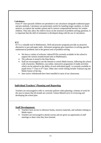#### **Calculators**

From 4<sup>th</sup> class upwards children are permitted to use calculators alongside traditional paper and pen methods. Calculators are particularly useful for handling larger numbers, to check answers, to explore the number system and to remove computational barriers for weaker children. They also allow the child to focus on the structure of problem-solving questions. It is important that the skill of estimation is developed along with the use of calculators.

#### **ICT**

ICT is a valuable tool in Mathematics. Drill and practice programs provide an attractive alternative to pen and paper tasks. Adventure programs give experience in solving specific mathematical problems and in the general area of problem-solving.

- We have a variety of software /videos/DVDs currently available in the school to support the various strands/strand units in Mathematics.
- The software is stored in the Data Room.
- Staff are encouraged to use the Internet to enrich Maths lessons, following the school code of practice. Mathletics, (an online, interactive programme of maths activities which can be tailored to the ability of each individual pupil) is currently available to pupils from  $1<sup>st</sup>$  Class to  $6<sup>th</sup>$  Class. Other sites worth visiting include Transum.org and Maths Starter of the day.
- Inter-active whiteboards have been installed in most of our classrooms.

**\_\_\_\_\_\_\_\_\_\_\_\_\_\_\_\_\_\_\_\_\_\_\_\_\_\_\_\_\_\_\_\_\_\_\_\_\_\_\_\_\_\_\_\_\_\_\_\_\_\_\_\_\_\_\_\_\_\_\_\_\_\_\_\_\_.\_\_\_\_\_\_\_\_\_\_\_\_\_\_\_**

#### **Individual Teachers' Planning and Reporting**

Teachers are encouraged to refer to curricular policies when planning a scheme of work for the year to ensure that all strands are covered. Cúntas Míosúil serve in reviewing and developing the school plan.

\_\_\_\_\_\_\_\_\_\_\_\_\_\_\_\_\_\_\_\_\_\_\_\_\_\_\_\_\_\_\_\_\_\_\_\_\_\_\_\_\_\_\_\_\_\_\_\_\_\_\_\_\_\_\_\_\_\_\_\_\_\_\_\_\_\_\_\_\_\_\_\_\_\_\_\_\_\_\_\_

#### **Staff Development:**

- Teachers have access to reference books, resource materials, and websites relating to Maths topics.
- Teachers are encouraged to attend courses and are given an opportunity at staff meetings to share what they have learned.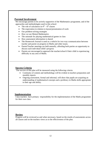#### **Parental Involvement**

We encourage parents to be actively supportive of the Mathematics programme, and of the approaches and methodologies used in this school:

- The role of calculators in  $4<sup>th</sup> 6<sup>th</sup>$  classes
- The expectation in relation to layout/presentation of work
- Our problem-solving strategies
- How we use Mental Mathematics
- The rationale for playing mathematical games in class
- How assessment information is shared
- The Homework Journal is used as a vehicle for two-way communication between teacher and parent on progress in Maths and other issues.
- Parent/Teacher meetings are held annually, affording both parties an opportunity to discuss each individual child's progress
- Parents are encouraged to approach the teacher/school if their child is experiencing difficulty in any area of Maths.

\_\_\_\_\_\_\_\_\_\_\_\_\_\_\_\_\_\_\_\_\_\_\_\_\_\_\_\_\_\_\_\_\_\_\_\_\_\_\_\_\_\_\_\_\_\_\_\_\_\_\_\_\_\_\_\_\_\_\_\_\_\_\_\_\_\_\_\_\_\_\_\_\_\_\_\_\_\_\_\_

**\_\_\_\_\_\_\_\_\_\_\_\_\_\_\_\_\_\_\_\_\_\_\_\_\_\_\_\_\_\_\_\_\_\_\_\_\_\_\_\_\_\_\_\_\_\_\_\_\_\_\_\_\_\_\_\_\_\_\_\_\_\_\_\_\_\_\_\_\_\_\_\_\_\_\_\_\_\_\_\_**

#### **Success Criteria**

The success of this plan will be measured using the following criteria:

- Continuity of content and methodology will be evident in teachers preparation and monthly reports
- Ongoing assessment, formal and informal, will show that pupils are acquiring an understanding of mathematical concepts and a profiency in Maths skills appropriate to their age and ability.

#### **Implementation**

Class teachers have primary responsibility for the implementation of the Maths programme for their own class.

#### **Review**

Progress will be reviewed as and when necessary, based on the results of assessments across all classes and on the teachers views as to the effectiveness of the plan.